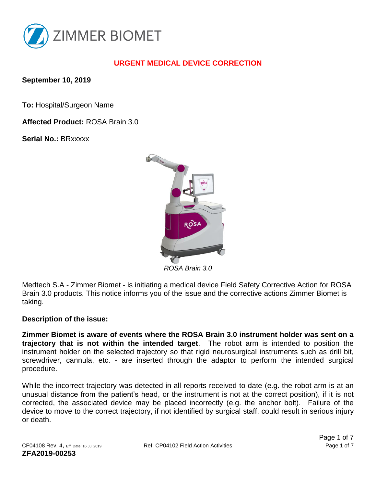

## **URGENT MEDICAL DEVICE CORRECTION**

**September 10, 2019**

**To:** Hospital/Surgeon Name

**Affected Product:** ROSA Brain 3.0

**Serial No.:** BRxxxxx



*ROSA Brain 3.0*

Medtech S.A - Zimmer Biomet - is initiating a medical device Field Safety Corrective Action for ROSA Brain 3.0 products. This notice informs you of the issue and the corrective actions Zimmer Biomet is taking.

#### **Description of the issue:**

**Zimmer Biomet is aware of events where the ROSA Brain 3.0 instrument holder was sent on a trajectory that is not within the intended target**. The robot arm is intended to position the instrument holder on the selected trajectory so that rigid neurosurgical instruments such as drill bit, screwdriver, cannula, etc. - are inserted through the adaptor to perform the intended surgical procedure.

While the incorrect trajectory was detected in all reports received to date (e.g. the robot arm is at an unusual distance from the patient's head, or the instrument is not at the correct position), if it is not corrected, the associated device may be placed incorrectly (e.g. the anchor bolt). Failure of the device to move to the correct trajectory, if not identified by surgical staff, could result in serious injury or death.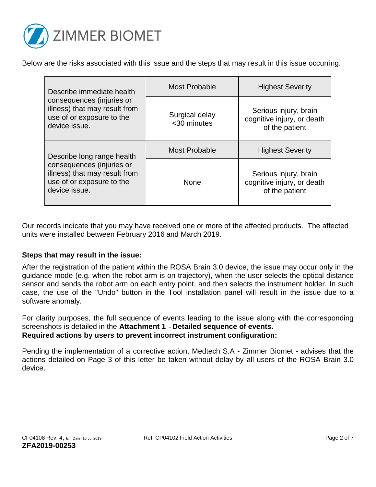

Below are the risks associated with this issue and the steps that may result in this issue occurring.

| Describe immediate health<br>consequences (injuries or<br>illness) that may result from<br>use of or exposure to the<br>device issue.  | <b>Most Probable</b>          | <b>Highest Severity</b>                                               |
|----------------------------------------------------------------------------------------------------------------------------------------|-------------------------------|-----------------------------------------------------------------------|
|                                                                                                                                        | Surgical delay<br><30 minutes | Serious injury, brain<br>cognitive injury, or death<br>of the patient |
| Describe long range health<br>consequences (injuries or<br>illness) that may result from<br>use of or exposure to the<br>device issue. | <b>Most Probable</b>          | <b>Highest Severity</b>                                               |
|                                                                                                                                        | <b>None</b>                   | Serious injury, brain<br>cognitive injury, or death<br>of the patient |

Our records indicate that you may have received one or more of the affected products. The affected units were installed between February 2016 and March 2019.

#### **Steps that may result in the issue:**

After the registration of the patient within the ROSA Brain 3.0 device, the issue may occur only in the guidance mode (e.g. when the robot arm is on trajectory), when the user selects the optical distance sensor and sends the robot arm on each entry point, and then selects the instrument holder. In such case, the use of the "Undo" button in the Tool installation panel will result in the issue due to a software anomaly.

For clarity purposes, the full sequence of events leading to the issue along with the corresponding screenshots is detailed in the **Attachment 1** - **Detailed sequence of events. Required actions by users to prevent incorrect instrument configuration:**

Pending the implementation of a corrective action, Medtech S.A - Zimmer Biomet - advises that the actions detailed on Page 3 of this letter be taken without delay by all users of the ROSA Brain 3.0 device.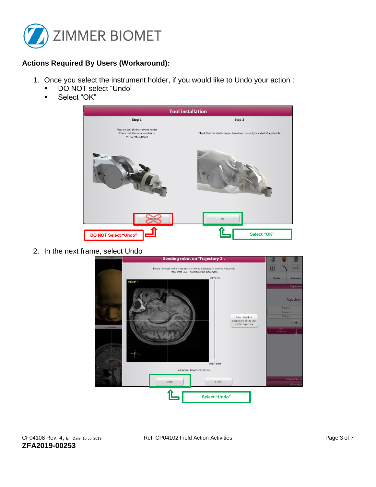

### **Actions Required By Users (Workaround):**

- 1. Once you select the instrument holder, if you would like to Undo your action :
	- DO NOT select "Undo"
	- Select "OK"



2. In the next frame, select Undo

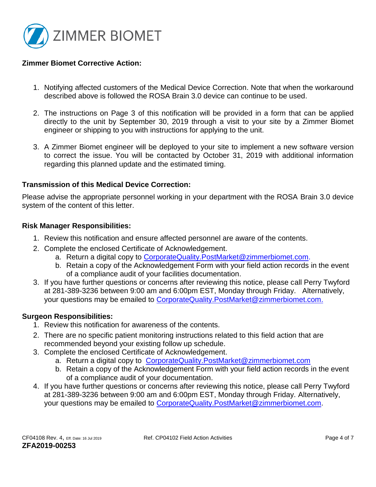

#### **Zimmer Biomet Corrective Action:**

- 1. Notifying affected customers of the Medical Device Correction. Note that when the workaround described above is followed the ROSA Brain 3.0 device can continue to be used.
- 2. The instructions on Page 3 of this notification will be provided in a form that can be applied directly to the unit by September 30, 2019 through a visit to your site by a Zimmer Biomet engineer or shipping to you with instructions for applying to the unit.
- 3. A Zimmer Biomet engineer will be deployed to your site to implement a new software version to correct the issue. You will be contacted by October 31, 2019 with additional information regarding this planned update and the estimated timing.

#### **Transmission of this Medical Device Correction:**

Please advise the appropriate personnel working in your department with the ROSA Brain 3.0 device system of the content of this letter.

#### **Risk Manager Responsibilities:**

- 1. Review this notification and ensure affected personnel are aware of the contents.
- 2. Complete the enclosed Certificate of Acknowledgement.
	- a. Return a digital copy to CorporateQuality.PostMarket@zimmerbiomet.com.
	- b. Retain a copy of the Acknowledgement Form with your field action records in the event of a compliance audit of your facilities documentation.
- 3. If you have further questions or concerns after reviewing this notice, please call Perry Twyford at 281-389-3236 between 9:00 am and 6:00pm EST, Monday through Friday. Alternatively, your questions may be emailed to [CorporateQuality.PostMarket@zimmerbiomet.com.](mailto:CorporateQuality.PostMarket@zimmerbiomet.com)

#### **Surgeon Responsibilities:**

- 1. Review this notification for awareness of the contents.
- 2. There are no specific patient monitoring instructions related to this field action that are recommended beyond your existing follow up schedule.
- 3. Complete the enclosed Certificate of Acknowledgement.
	- a. Return a digital copy to [CorporateQuality.PostMarket@zimmerbiomet.com](mailto:CorporateQuality.PostMarket@zimmerbiomet.com)
	- b. Retain a copy of the Acknowledgement Form with your field action records in the event of a compliance audit of your documentation.
- 4. If you have further questions or concerns after reviewing this notice, please call Perry Twyford at 281-389-3236 between 9:00 am and 6:00pm EST, Monday through Friday. Alternatively, your questions may be emailed to [CorporateQuality.PostMarket@zimmerbiomet.com.](mailto:CorporateQuality.PostMarket@zimmerbiomet.com)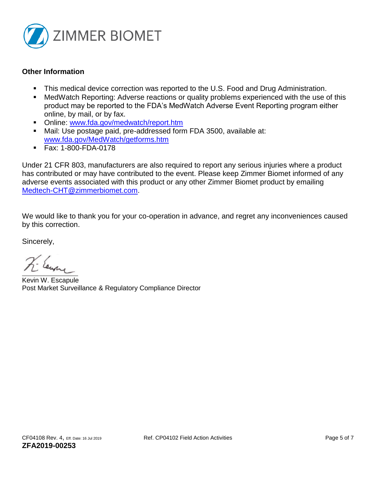

#### **Other Information**

- This medical device correction was reported to the U.S. Food and Drug Administration.
- MedWatch Reporting: Adverse reactions or quality problems experienced with the use of this product may be reported to the FDA's MedWatch Adverse Event Reporting program either online, by mail, or by fax.
- Online: [www.fda.gov/medwatch/report.htm](http://www.fda.gov/medwatch/report.htm)
- Mail: Use postage paid, pre-addressed form FDA 3500, available at: [www.fda.gov/MedWatch/getforms.htm](http://www.fda.gov/MedWatch/getforms.htm)
- Fax: 1-800-FDA-0178

Under 21 CFR 803, manufacturers are also required to report any serious injuries where a product has contributed or may have contributed to the event. Please keep Zimmer Biomet informed of any adverse events associated with this product or any other Zimmer Biomet product by emailing [Medtech-CHT@zimmerbiomet.com.](file:///C:/Users/guillonm/AppData/Local/Microsoft/Windows/INetCache/Content.Outlook/T0VF9KS7/Medtech-CHT@zimmerbiomet.com)

We would like to thank you for your co-operation in advance, and regret any inconveniences caused by this correction.

Sincerely,

The Earne

Kevin W. Escapule Post Market Surveillance & Regulatory Compliance Director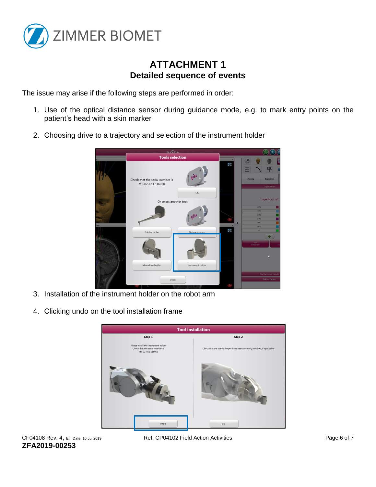

# **ATTACHMENT 1 Detailed sequence of events**

The issue may arise if the following steps are performed in order:

- 1. Use of the optical distance sensor during guidance mode, e.g. to mark entry points on the patient's head with a skin marker
- 2. Choosing drive to a trajectory and selection of the instrument holder



- 3. Installation of the instrument holder on the robot arm
- 4. Clicking undo on the tool installation frame



**ZFA2019-00253**

CF04108 Rev. 4, Eff. Date: 16 Jul 2019 Ref. CP04102 Field Action Activities Page 6 of 7